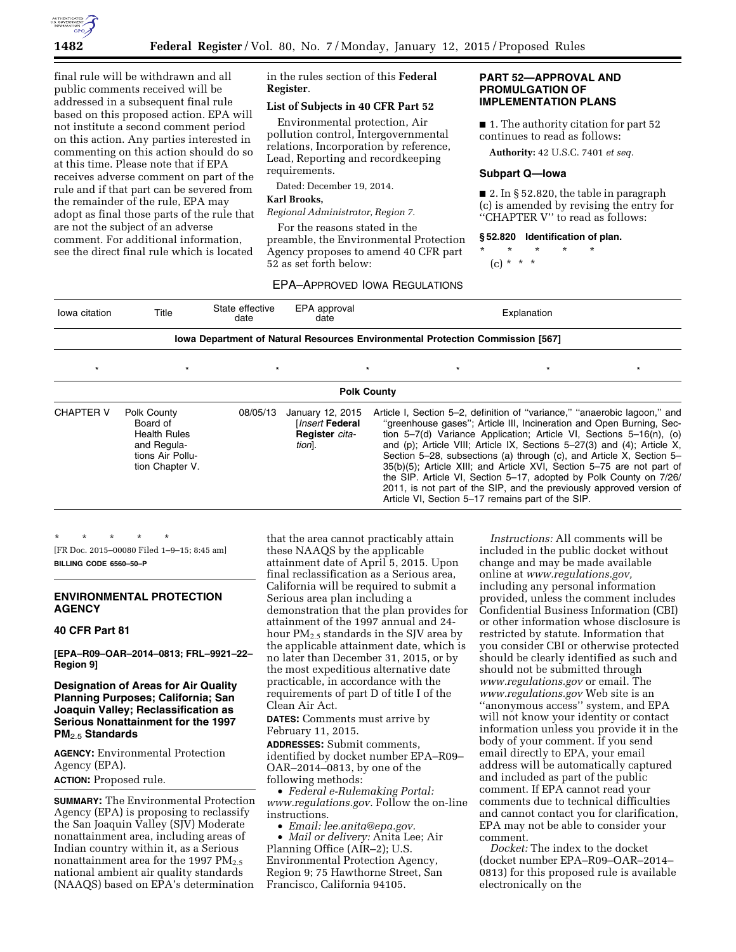

final rule will be withdrawn and all public comments received will be addressed in a subsequent final rule based on this proposed action. EPA will not institute a second comment period on this action. Any parties interested in commenting on this action should do so at this time. Please note that if EPA receives adverse comment on part of the rule and if that part can be severed from the remainder of the rule, EPA may adopt as final those parts of the rule that are not the subject of an adverse comment. For additional information, see the direct final rule which is located

in the rules section of this **Federal Register**.

### **List of Subjects in 40 CFR Part 52**

Environmental protection, Air pollution control, Intergovernmental relations, Incorporation by reference, Lead, Reporting and recordkeeping requirements.

Dated: December 19, 2014.

#### **Karl Brooks,**

*Regional Administrator, Region 7.* 

For the reasons stated in the preamble, the Environmental Protection Agency proposes to amend 40 CFR part 52 as set forth below:

### **PART 52—APPROVAL AND PROMULGATION OF IMPLEMENTATION PLANS**

■ 1. The authority citation for part 52 continues to read as follows:

**Authority:** 42 U.S.C. 7401 *et seq.* 

### **Subpart Q—Iowa**

 $\blacksquare$  2. In § 52.820, the table in paragraph (c) is amended by revising the entry for ''CHAPTER V'' to read as follows:

#### **§ 52.820 Identification of plan.**

\* \* \* \* \*

(c) \* \* \*

| Iowa citation                                                                  | Title | State effective<br>date | EPA approval<br>date | Explanation |  |  |  |
|--------------------------------------------------------------------------------|-------|-------------------------|----------------------|-------------|--|--|--|
| lowa Department of Natural Resources Environmental Protection Commission [567] |       |                         |                      |             |  |  |  |

| <b>Polk County</b> |                                                                                                      |          |                                                                         |  |  |                                                   |                                                                                                                                                                                                                                                                                                                                                                                                                                                                                                                                                                                                           |
|--------------------|------------------------------------------------------------------------------------------------------|----------|-------------------------------------------------------------------------|--|--|---------------------------------------------------|-----------------------------------------------------------------------------------------------------------------------------------------------------------------------------------------------------------------------------------------------------------------------------------------------------------------------------------------------------------------------------------------------------------------------------------------------------------------------------------------------------------------------------------------------------------------------------------------------------------|
| <b>CHAPTER V</b>   | Polk County<br>Board of<br><b>Health Rules</b><br>and Regula-<br>tions Air Pollu-<br>tion Chapter V. | 08/05/13 | January 12, 2015<br>[ <i>Insert</i> Federal<br>Register cita-<br>tion]. |  |  | Article VI, Section 5-17 remains part of the SIP. | Article I, Section 5–2, definition of "variance," "anaerobic lagoon," and<br>"greenhouse gases"; Article III, Incineration and Open Burning, Sec-<br>tion $5-7(d)$ Variance Application; Article VI, Sections $5-16(n)$ , (o)<br>and (p); Article VIII; Article IX, Sections $5-27(3)$ and (4); Article X,<br>Section 5–28, subsections (a) through (c), and Article X, Section 5–<br>35(b)(5); Article XIII; and Article XVI, Section 5–75 are not part of<br>the SIP. Article VI, Section 5–17, adopted by Polk County on 7/26/<br>2011, is not part of the SIP, and the previously approved version of |

\* \* \* \* \* [FR Doc. 2015–00080 Filed 1–9–15; 8:45 am] **BILLING CODE 6560–50–P** 

# **ENVIRONMENTAL PROTECTION AGENCY**

#### **40 CFR Part 81**

**[EPA–R09–OAR–2014–0813; FRL–9921–22– Region 9]** 

# **Designation of Areas for Air Quality Planning Purposes; California; San Joaquin Valley; Reclassification as Serious Nonattainment for the 1997 PM**2.5 **Standards**

**AGENCY:** Environmental Protection Agency (EPA). **ACTION:** Proposed rule.

**SUMMARY:** The Environmental Protection Agency (EPA) is proposing to reclassify the San Joaquin Valley (SJV) Moderate nonattainment area, including areas of Indian country within it, as a Serious nonattainment area for the 1997  $PM_{2.5}$ national ambient air quality standards (NAAQS) based on EPA's determination

that the area cannot practicably attain these NAAQS by the applicable attainment date of April 5, 2015. Upon final reclassification as a Serious area, California will be required to submit a Serious area plan including a demonstration that the plan provides for attainment of the 1997 annual and 24 hour PM2.5 standards in the SJV area by the applicable attainment date, which is no later than December 31, 2015, or by the most expeditious alternative date practicable, in accordance with the requirements of part D of title I of the Clean Air Act.

**DATES:** Comments must arrive by February 11, 2015.

**ADDRESSES:** Submit comments, identified by docket number EPA–R09– OAR–2014–0813, by one of the following methods:

• *Federal e-Rulemaking Portal: [www.regulations.gov.](http://www.regulations.gov)* Follow the on-line instructions.

• *Email: [lee.anita@epa.gov.](mailto:lee.anita@epa.gov)* 

• *Mail or delivery:* Anita Lee; Air Planning Office (AIR–2); U.S. Environmental Protection Agency, Region 9; 75 Hawthorne Street, San Francisco, California 94105.

*Instructions:* All comments will be included in the public docket without change and may be made available online at *[www.regulations.gov,](http://www.regulations.gov)*  including any personal information provided, unless the comment includes Confidential Business Information (CBI) or other information whose disclosure is restricted by statute. Information that you consider CBI or otherwise protected should be clearly identified as such and should not be submitted through *[www.regulations.gov](http://www.regulations.gov)* or email. The *[www.regulations.gov](http://www.regulations.gov)* Web site is an ''anonymous access'' system, and EPA will not know your identity or contact information unless you provide it in the body of your comment. If you send email directly to EPA, your email address will be automatically captured and included as part of the public comment. If EPA cannot read your comments due to technical difficulties and cannot contact you for clarification, EPA may not be able to consider your comment.

*Docket:* The index to the docket (docket number EPA–R09–OAR–2014– 0813) for this proposed rule is available electronically on the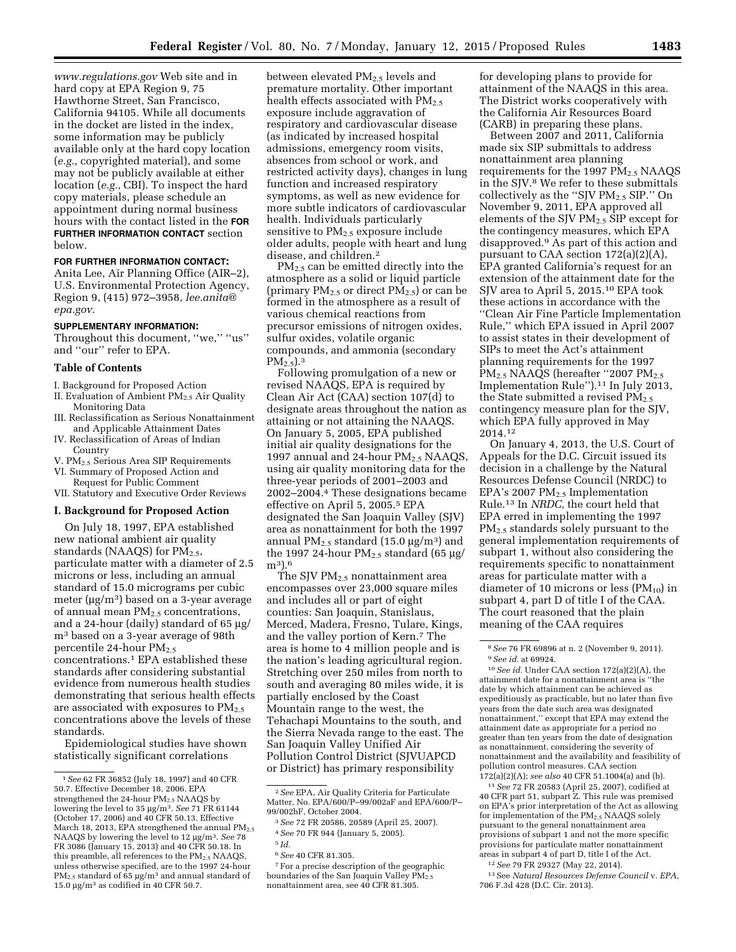*[www.regulations.gov](http://www.regulations.gov)* Web site and in hard copy at EPA Region 9, 75 Hawthorne Street, San Francisco, California 94105. While all documents in the docket are listed in the index, some information may be publicly available only at the hard copy location (*e.g.,* copyrighted material), and some may not be publicly available at either location (*e.g.,* CBI). To inspect the hard copy materials, please schedule an appointment during normal business hours with the contact listed in the **FOR FURTHER INFORMATION CONTACT** section below.

#### **FOR FURTHER INFORMATION CONTACT:**

Anita Lee, Air Planning Office (AIR–2), U.S. Environmental Protection Agency, Region 9, (415) 972–3958, *[lee.anita@](mailto:lee.anita@epa.gov) [epa.gov](mailto:lee.anita@epa.gov)*.

#### **SUPPLEMENTARY INFORMATION:**

Throughout this document, ''we,'' ''us'' and ''our'' refer to EPA.

#### **Table of Contents**

- I. Background for Proposed Action
- II. Evaluation of Ambient PM<sub>2.5</sub> Air Quality Monitoring Data
- III. Reclassification as Serious Nonattainment and Applicable Attainment Dates
- IV. Reclassification of Areas of Indian Country
- V. PM2.5 Serious Area SIP Requirements VI. Summary of Proposed Action and
- Request for Public Comment VII. Statutory and Executive Order Reviews

# **I. Background for Proposed Action**

On July 18, 1997, EPA established new national ambient air quality standards (NAAQS) for  $PM_{2.5}$ , particulate matter with a diameter of 2.5 microns or less, including an annual standard of 15.0 micrograms per cubic meter  $(\mu g/m^3)$  based on a 3-year average of annual mean  $PM_{2.5}$  concentrations, and a 24-hour (daily) standard of  $65 \mu g$ / m3 based on a 3-year average of 98th percentile 24-hour  $PM_{2.5}$ concentrations.1 EPA established these standards after considering substantial evidence from numerous health studies demonstrating that serious health effects are associated with exposures to  $PM_{2.5}$ concentrations above the levels of these standards.

Epidemiological studies have shown statistically significant correlations

between elevated PM2.5 levels and premature mortality. Other important health effects associated with  $PM_{2.5}$ exposure include aggravation of respiratory and cardiovascular disease (as indicated by increased hospital admissions, emergency room visits, absences from school or work, and restricted activity days), changes in lung function and increased respiratory symptoms, as well as new evidence for more subtle indicators of cardiovascular health. Individuals particularly sensitive to  $PM_{2.5}$  exposure include older adults, people with heart and lung disease, and children.2

PM<sub>2.5</sub> can be emitted directly into the atmosphere as a solid or liquid particle (primary  $PM_{2.5}$  or direct  $PM_{2.5}$ ) or can be formed in the atmosphere as a result of various chemical reactions from precursor emissions of nitrogen oxides, sulfur oxides, volatile organic compounds, and ammonia (secondary  $PM_{2.5}$ ).<sup>3</sup>

Following promulgation of a new or revised NAAQS, EPA is required by Clean Air Act (CAA) section 107(d) to designate areas throughout the nation as attaining or not attaining the NAAQS. On January 5, 2005, EPA published initial air quality designations for the 1997 annual and 24-hour PM<sub>2.5</sub> NAAQS, using air quality monitoring data for the three-year periods of 2001–2003 and 2002–2004.4 These designations became effective on April 5, 2005.5 EPA designated the San Joaquin Valley (SJV) area as nonattainment for both the 1997 annual PM<sub>2.5</sub> standard (15.0  $\mu$ g/m<sup>3</sup>) and the 1997 24-hour  $PM_{2.5}$  standard (65 µg/ m3).6

The SJV PM2.5 nonattainment area encompasses over 23,000 square miles and includes all or part of eight counties: San Joaquin, Stanislaus, Merced, Madera, Fresno, Tulare, Kings, and the valley portion of Kern.7 The area is home to 4 million people and is the nation's leading agricultural region. Stretching over 250 miles from north to south and averaging 80 miles wide, it is partially enclosed by the Coast Mountain range to the west, the Tehachapi Mountains to the south, and the Sierra Nevada range to the east. The San Joaquin Valley Unified Air Pollution Control District (SJVUAPCD or District) has primary responsibility

7For a precise description of the geographic boundaries of the San Joaquin Valley PM<sub>2.5</sub> nonattainment area, see 40 CFR 81.305.

for developing plans to provide for attainment of the NAAQS in this area. The District works cooperatively with the California Air Resources Board (CARB) in preparing these plans.

Between 2007 and 2011, California made six SIP submittals to address nonattainment area planning requirements for the 1997  $PM_{2.5}$  NAAQS in the SJV.8 We refer to these submittals collectively as the "SJV  $PM_{2.5}$  SIP." On November 9, 2011, EPA approved all elements of the SJV PM2.5 SIP except for the contingency measures, which EPA disapproved.9 As part of this action and pursuant to CAA section 172(a)(2)(A), EPA granted California's request for an extension of the attainment date for the SJV area to April 5, 2015.10 EPA took these actions in accordance with the ''Clean Air Fine Particle Implementation Rule,'' which EPA issued in April 2007 to assist states in their development of SIPs to meet the Act's attainment planning requirements for the 1997 PM<sub>2.5</sub> NAAQS (hereafter "2007 PM<sub>2.5</sub> Implementation Rule'').11 In July 2013, the State submitted a revised PM<sub>2.5</sub> contingency measure plan for the SJV, which EPA fully approved in May 2014.12

On January 4, 2013, the U.S. Court of Appeals for the D.C. Circuit issued its decision in a challenge by the Natural Resources Defense Council (NRDC) to EPA's 2007  $PM_{2.5}$  Implementation Rule.13 In *NRDC,* the court held that EPA erred in implementing the 1997 PM<sub>2.5</sub> standards solely pursuant to the general implementation requirements of subpart 1, without also considering the requirements specific to nonattainment areas for particulate matter with a diameter of 10 microns or less  $(PM_{10})$  in subpart 4, part D of title I of the CAA. The court reasoned that the plain meaning of the CAA requires

10*See id.* Under CAA section 172(a)(2)(A), the attainment date for a nonattainment area is ''the date by which attainment can be achieved as expeditiously as practicable, but no later than five years from the date such area was designated nonattainment,'' except that EPA may extend the attainment date as appropriate for a period no greater than ten years from the date of designation as nonattainment, considering the severity of nonattainment and the availability and feasibility of pollution control measures. CAA section 172(a)(2)(A); *see also* 40 CFR 51.1004(a) and (b).

11*See* 72 FR 20583 (April 25, 2007), codified at 40 CFR part 51, subpart Z. This rule was premised on EPA's prior interpretation of the Act as allowing for implementation of the PM2.5 NAAQS solely pursuant to the general nonattainment area provisions of subpart 1 and not the more specific provisions for particulate matter nonattainment areas in subpart 4 of part D, title I of the Act.

12*See* 79 FR 29327 (May 22, 2014).

13See *Natural Resources Defense Council* v. *EPA,*  706 F.3d 428 (D.C. Cir. 2013).

<sup>1</sup>*See* 62 FR 36852 (July 18, 1997) and 40 CFR 50.7. Effective December 18, 2006, EPA strengthened the 24-hour  $PM_{2.5}$  NAAQS by lowering the level to 35 µg/m<sup>3</sup>. See 71 FR 61144 (October 17, 2006) and 40 CFR 50.13. Effective March 18, 2013, EPA strengthened the annual  $PM_{2.5}$ NAAQS by lowering the level to 12 µg/m<sup>3</sup>. See 78 FR 3086 (January 15, 2013) and 40 CFR 50.18. In this preamble, all references to the  $PM_{2.5}$  NAAQS, unless otherwise specified, are to the 1997 24-hour  $PM_{2.5}$  standard of 65  $\mu$ g/m<sup>3</sup> and annual standard of 15.0  $\mu$ g/m<sup>3</sup> as codified in 40 CFR 50.7.

<sup>2</sup>*See* EPA, Air Quality Criteria for Particulate Matter, No. EPA/600/P–99/002aF and EPA/600/P– 99/002bF, October 2004.

<sup>3</sup>*See* 72 FR 20586, 20589 (April 25, 2007). 4*See* 70 FR 944 (January 5, 2005).

<sup>5</sup> *Id.* 

<sup>6</sup>*See* 40 CFR 81.305.

<sup>8</sup>*See* 76 FR 69896 at n. 2 (November 9, 2011). 9*See id.* at 69924.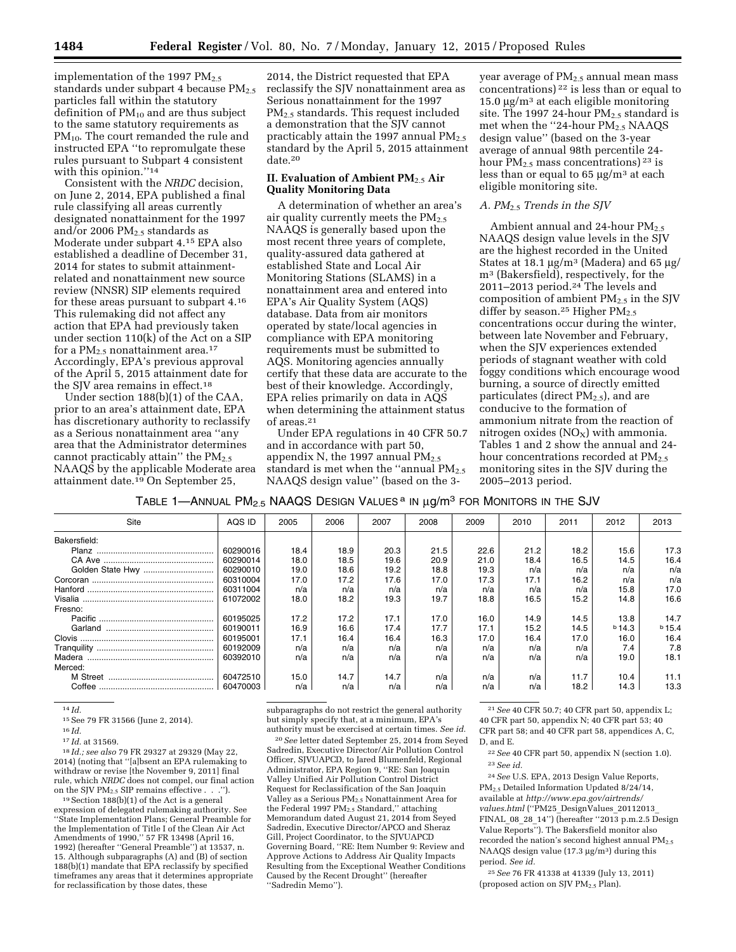implementation of the 1997  $PM_{2.5}$ standards under subpart 4 because  $PM_{2.5}$ particles fall within the statutory definition of  $PM_{10}$  and are thus subject to the same statutory requirements as PM<sub>10</sub>. The court remanded the rule and instructed EPA ''to repromulgate these rules pursuant to Subpart 4 consistent with this opinion."<sup>14</sup>

Consistent with the *NRDC* decision, on June 2, 2014, EPA published a final rule classifying all areas currently designated nonattainment for the 1997 and/or 2006  $PM<sub>2.5</sub>$  standards as Moderate under subpart 4.15 EPA also established a deadline of December 31, 2014 for states to submit attainmentrelated and nonattainment new source review (NNSR) SIP elements required for these areas pursuant to subpart 4.16 This rulemaking did not affect any action that EPA had previously taken under section 110(k) of the Act on a SIP for a  $PM_{2.5}$  nonattainment area.<sup>17</sup> Accordingly, EPA's previous approval of the April 5, 2015 attainment date for the SJV area remains in effect.18

Under section 188(b)(1) of the CAA, prior to an area's attainment date, EPA has discretionary authority to reclassify as a Serious nonattainment area ''any area that the Administrator determines cannot practicably attain" the  $PM_{2.5}$ NAAQS by the applicable Moderate area attainment date.19 On September 25,

2014, the District requested that EPA reclassify the SJV nonattainment area as Serious nonattainment for the 1997 PM2.5 standards. This request included a demonstration that the SJV cannot practicably attain the 1997 annual  $PM_{2.5}$ standard by the April 5, 2015 attainment date.20

### **II. Evaluation of Ambient PM**2.5 **Air Quality Monitoring Data**

A determination of whether an area's air quality currently meets the  $PM_{2.5}$ NAAQS is generally based upon the most recent three years of complete, quality-assured data gathered at established State and Local Air Monitoring Stations (SLAMS) in a nonattainment area and entered into EPA's Air Quality System (AQS) database. Data from air monitors operated by state/local agencies in compliance with EPA monitoring requirements must be submitted to AQS. Monitoring agencies annually certify that these data are accurate to the best of their knowledge. Accordingly, EPA relies primarily on data in AQS when determining the attainment status of areas.21

Under EPA regulations in 40 CFR 50.7 and in accordance with part 50, appendix N, the 1997 annual  $PM_{2.5}$ standard is met when the "annual  $PM_{2.5}$ NAAQS design value'' (based on the 3-

year average of PM<sub>2.5</sub> annual mean mass concentrations) 22 is less than or equal to 15.0  $\mu$ g/m<sup>3</sup> at each eligible monitoring site. The 1997 24-hour  $PM_{2.5}$  standard is met when the "24-hour PM<sub>2.5</sub> NAAQS design value'' (based on the 3-year average of annual 98th percentile 24 hour  $PM_{2.5}$  mass concentrations) <sup>23</sup> is less than or equal to  $65 \mu g/m^3$  at each eligible monitoring site.

# *A. PM*2.5 *Trends in the SJV*

Ambient annual and 24-hour  $PM_{2.5}$ NAAQS design value levels in the SJV are the highest recorded in the United States at 18.1  $\mu$ g/m<sup>3</sup> (Madera) and 65  $\mu$ g/ m3 (Bakersfield), respectively, for the 2011–2013 period.<sup>24</sup> The levels and composition of ambient PM2.5 in the SJV differ by season.<sup>25</sup> Higher  $PM_{2.5}$ concentrations occur during the winter, between late November and February, when the SJV experiences extended periods of stagnant weather with cold foggy conditions which encourage wood burning, a source of directly emitted particulates (direct  $PM_{2.5}$ ), and are conducive to the formation of ammonium nitrate from the reaction of nitrogen oxides  $(NO<sub>X</sub>)$  with ammonia. Tables 1 and 2 show the annual and 24 hour concentrations recorded at PM<sub>2.5</sub> monitoring sites in the SJV during the 2005–2013 period.

TABLE 1—ANNUAL  $PM_{2.5}$  NAAQS DESIGN VALUES <sup>a</sup> IN  $\mu$ g/m<sup>3</sup> FOR MONITORS IN THE SJV

| Site             | AQS ID   | 2005 | 2006 | 2007 | 2008 | 2009 | 2010 | 2011 | 2012     | 2013     |
|------------------|----------|------|------|------|------|------|------|------|----------|----------|
| Bakersfield:     |          |      |      |      |      |      |      |      |          |          |
|                  | 60290016 | 18.4 | 18.9 | 20.3 | 21.5 | 22.6 | 21.2 | 18.2 | 15.6     | 17.3     |
|                  | 60290014 | 18.0 | 18.5 | 19.6 | 20.9 | 21.0 | 18.4 | 16.5 | 14.5     | 16.4     |
| Golden State Hwy | 60290010 | 19.0 | 18.6 | 19.2 | 18.8 | 19.3 | n/a  | n/a  | n/a      | n/a      |
|                  | 60310004 | 17.0 | 17.2 | 17.6 | 17.0 | 17.3 | 17.1 | 16.2 | n/a      | n/a      |
|                  | 60311004 | n/a  | n/a  | n/a  | n/a  | n/a  | n/a  | n/a  | 15.8     | 17.0     |
|                  | 61072002 | 18.0 | 18.2 | 19.3 | 19.7 | 18.8 | 16.5 | 15.2 | 14.8     | 16.6     |
| Fresno:          |          |      |      |      |      |      |      |      |          |          |
|                  | 60195025 | 17.2 | 17.2 | 17.1 | 17.0 | 16.0 | 14.9 | 14.5 | 13.8     | 14.7     |
|                  | 60190011 | 16.9 | 16.6 | 17.4 | 17.7 | 17.1 | 15.2 | 14.5 | $b$ 14.3 | $b$ 15.4 |
|                  | 60195001 | 17.1 | 16.4 | 16.4 | 16.3 | 17.0 | 16.4 | 17.0 | 16.0     | 16.4     |
|                  | 60192009 | n/a  | n/a  | n/a  | n/a  | n/a  | n/a  | n/a  | 7.4      | 7.8      |
|                  | 60392010 | n/a  | n/a  | n/a  | n/a  | n/a  | n/a  | n/a  | 19.0     | 18.1     |
| Merced:          |          |      |      |      |      |      |      |      |          |          |
| M Street         | 60472510 | 15.0 | 14.7 | 14.7 | n/a  | n/a  | n/a  | 11.7 | 10.4     | 11.1     |
| Coffee           | 60470003 | n/a  | n/a  | n/a  | n/a  | n/a  | n/a  | 18.2 | 14.3     | 13.3     |

14 *Id.* 

15See 79 FR 31566 (June 2, 2014). 16 *Id.* 

<sup>17</sup> *Id.* at 31569. 18 *Id.; see also* 79 FR 29327 at 29329 (May 22, 2014) (noting that ''[a]bsent an EPA rulemaking to withdraw or revise [the November 9, 2011] final rule, which *NRDC* does not compel, our final action<br>on the SJV PM<sub>2.5</sub> SIP remains effective . . .'').

 $19$  Section  $188(b)(1)$  of the Act is a general expression of delegated rulemaking authority. See ''State Implementation Plans; General Preamble for the Implementation of Title I of the Clean Air Act Amendments of 1990,'' 57 FR 13498 (April 16, 1992) (hereafter ''General Preamble'') at 13537, n. 15. Although subparagraphs (A) and (B) of section 188(b)(1) mandate that EPA reclassify by specified timeframes any areas that it determines appropriate for reclassification by those dates, these

subparagraphs do not restrict the general authority but simply specify that, at a minimum, EPA's authority must be exercised at certain times. *See id.* 

20*See* letter dated September 25, 2014 from Seyed Sadredin, Executive Director/Air Pollution Control Officer, SJVUAPCD, to Jared Blumenfeld, Regional Administrator, EPA Region 9, ''RE: San Joaquin Valley Unified Air Pollution Control District Request for Reclassification of the San Joaquin Valley as a Serious PM2.5 Nonattainment Area for the Federal 1997 PM<sub>2.5</sub> Standard," attaching Memorandum dated August 21, 2014 from Seyed Sadredin, Executive Director/APCO and Sheraz Gill, Project Coordinator, to the SJVUAPCD Governing Board, ''RE: Item Number 9: Review and Approve Actions to Address Air Quality Impacts Resulting from the Exceptional Weather Conditions Caused by the Recent Drought'' (hereafter ''Sadredin Memo'').

21*See* 40 CFR 50.7; 40 CFR part 50, appendix L; 40 CFR part 50, appendix N; 40 CFR part 53; 40 CFR part 58; and 40 CFR part 58, appendices A, C, D, and E.

22*See* 40 CFR part 50, appendix N (section 1.0). 23*See id.* 

24*See* U.S. EPA, 2013 Design Value Reports, PM2.5 Detailed Information Updated 8/24/14, available at *[http://www.epa.gov/airtrends/](http://www.epa.gov/airtrends/values.html)* [values.html](http://www.epa.gov/airtrends/values.html) ("PM25\_DesignValues\_20112013 FINAL 08 28  $14'$ ) (hereafter "2013 p.m.2.5 Design Value Reports''). The Bakersfield monitor also recorded the nation's second highest annual PM<sub>2.5</sub> NAAQS design value  $(17.3 \mu g/m^3)$  during this period. *See id.* 

25*See* 76 FR 41338 at 41339 (July 13, 2011) (proposed action on SJV PM<sub>2.5</sub> Plan).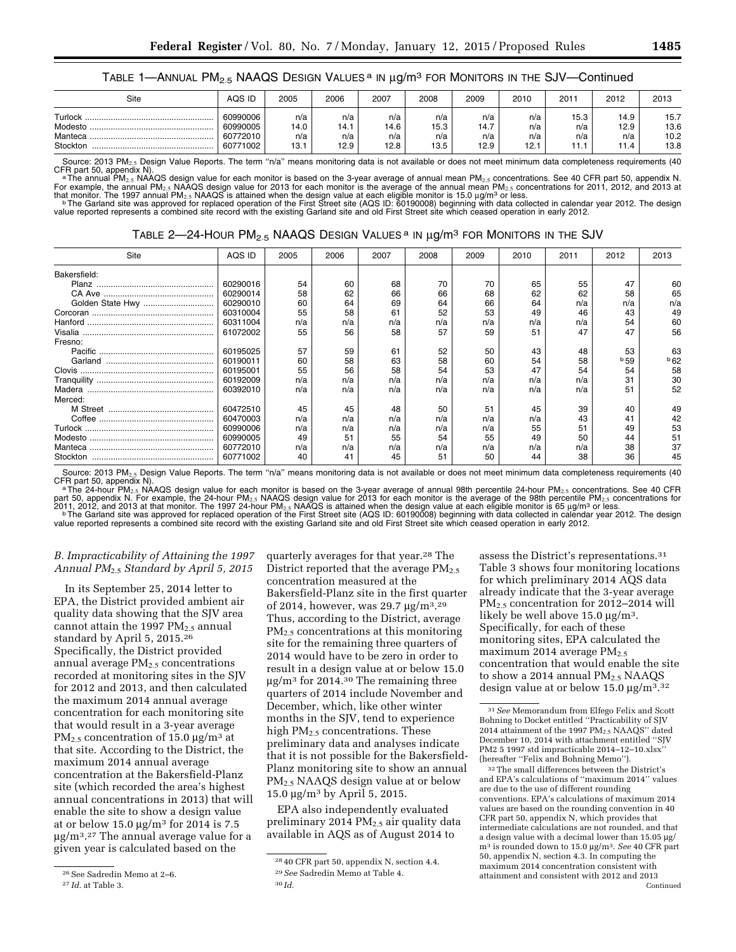### TABLE 1—ANNUAL PM<sub>2.5</sub> NAAQS DESIGN VALUES<sup> a</sup> IN μg/m<sup>3</sup> FOR MONITORS IN THE SJV—Continued

| Site                                      | AQS ID                                       | 2005                       | 2006                       | 2007                       | 2008                       | 2009                       | 2010                     | $201 -$            | 2012                        | 2013                         |
|-------------------------------------------|----------------------------------------------|----------------------------|----------------------------|----------------------------|----------------------------|----------------------------|--------------------------|--------------------|-----------------------------|------------------------------|
| Turlock<br>Modesto<br>Manteca<br>Stockton | 60990006<br>60990005<br>60772010<br>60771002 | n/a<br>14.0<br>n/a<br>13.1 | n/a<br>14.1<br>n/a<br>12.9 | n/a<br>14.6<br>n/a<br>12.8 | n/a<br>15.3<br>n/a<br>13.5 | n/a<br>14.7<br>n/a<br>12.9 | n/a<br>n/a<br>n/a<br>12. | 15.3<br>n/a<br>n/a | 14.9<br>12.9<br>n/a<br>11.4 | 15.7<br>13.6<br>10.2<br>13.8 |

Source: 2013 PM<sub>2.5</sub> Design Value Reports. The term "n/a" means monitoring data is not available or does not meet minimum data completeness requirements (40 CFR part 50, appendix N).<br>
<sup>a</sup>The annual PM<sub>2.5</sub> NAAQS design value for each monitor is based on the 3-year average of annual mean PM<sub>2.5</sub> concentrations. See 40 CFR part 50, appendix N.

For example, the annual PM<sub>2.5</sub> NAAQS design value for 2013 for each monitor is the average of the annual mean PM<sub>2.5</sub> concentrations for 2011, 2012, and 2013 at<br>that monitor. The 1997 annual PM<sub>2.5</sub> NAAQS is attained wh

value reported represents a combined site record with the existing Garland site and old First Street site which ceased operation in early 2012.

|  | TABLE 2—24-HOUR PM $_{2.5}$ NAAQS Design Values $^{\rm a}$ in $\mu$ g/m $^{\rm 3}$ for Monitors in the SJV $^{\rm a}$ |
|--|-----------------------------------------------------------------------------------------------------------------------|
|--|-----------------------------------------------------------------------------------------------------------------------|

| Site         | AQS ID   | 2005 | 2006 | 2007 | 2008 | 2009 | 2010 | 2011 | 2012            | 2013 |
|--------------|----------|------|------|------|------|------|------|------|-----------------|------|
| Bakersfield: |          |      |      |      |      |      |      |      |                 |      |
|              | 60290016 | 54   | 60   | 68   | 70   | 70   | 65   | 55   | 47              | 60   |
|              | 60290014 | 58   | 62   | 66   | 66   | 68   | 62   | 62   | 58              | 65   |
|              | 60290010 | 60   | 64   | 69   | 64   | 66   | 64   | n/a  | n/a             | n/a  |
|              | 60310004 | 55   | 58   | 61   | 52   | 53   | 49   | 46   | 43              | 49   |
|              | 60311004 | n/a  | n/a  | n/a  | n/a  | n/a  | n/a  | n/a  | 54              | 60   |
|              | 61072002 | 55   | 56   | 58   | 57   | 59   | 51   | 47   | 47              | 56   |
| Fresno:      |          |      |      |      |      |      |      |      |                 |      |
|              | 60195025 | 57   | 59   | 61   | 52   | 50   | 43   | 48   | 53              | 63   |
|              | 60190011 | 60   | 58   | 63   | 58   | 60   | 54   | 58   | <sup>b</sup> 59 | b62  |
|              | 60195001 | 55   | 56   | 58   | 54   | 53   | 47   | 54   | 54              | 58   |
|              | 60192009 | n/a  | n/a  | n/a  | n/a  | n/a  | n/a  | n/a  | 31              | 30   |
|              | 60392010 | n/a  | n/a  | n/a  | n/a  | n/a  | n/a  | n/a  | 51              | 52   |
| Merced:      |          |      |      |      |      |      |      |      |                 |      |
|              | 60472510 | 45   | 45   | 48   | 50   | 51   | 45   | 39   | 40              | 49   |
|              | 60470003 | n/a  | n/a  | n/a  | n/a  | n/a  | n/a  | 43   | 41              | 42   |
|              | 60990006 | n/a  | n/a  | n/a  | n/a  | n/a  | 55   | 51   | 49              | 53   |
|              | 60990005 | 49   | 51   | 55   | 54   | 55   | 49   | 50   | 44              | 51   |
|              | 60772010 | n/a  | n/a  | n/a  | n/a  | n/a  | n/a  | n/a  | 38              | 37   |
| Stockton     | 60771002 | 40   | 41   | 45   | 51   | 50   | 44   | 38   | 36              | 45   |

Source: 2013 PM<sub>2.5</sub> Design Value Reports. The term "n/a" means monitoring data is not available or does not meet minimum data completeness requirements (40

CFR part 50, appendix N).<br>
<sup>a</sup> The 24-hour PM<sub>2.5</sub> NAAQS design value for each monitor is based on the 3-year average of annual 98th percentile 24-hour PM<sub>2.5</sub> concentrations. See 40 CFR<br>
part 50, appendix N. For example, value reported represents a combined site record with the existing Garland site and old First Street site which ceased operation in early 2012.

# *B. Impracticability of Attaining the 1997 Annual PM*2.5 *Standard by April 5, 2015*

In its September 25, 2014 letter to EPA, the District provided ambient air quality data showing that the SJV area cannot attain the 1997  $PM_{2.5}$  annual standard by April 5, 2015.26 Specifically, the District provided annual average  $PM<sub>2.5</sub>$  concentrations recorded at monitoring sites in the SJV for 2012 and 2013, and then calculated the maximum 2014 annual average concentration for each monitoring site that would result in a 3-year average  $PM_{2.5}$  concentration of 15.0  $\mu$ g/m<sup>3</sup> at that site. According to the District, the maximum 2014 annual average concentration at the Bakersfield-Planz site (which recorded the area's highest annual concentrations in 2013) that will enable the site to show a design value at or below 15.0  $\mu$ g/m<sup>3</sup> for 2014 is 7.5  $\mu$ g/m<sup>3</sup>.<sup>27</sup> The annual average value for a given year is calculated based on the

quarterly averages for that year.28 The District reported that the average  $PM_{2.5}$ concentration measured at the Bakersfield-Planz site in the first quarter of 2014, however, was 29.7  $\mu$ g/m<sup>3</sup>.<sup>29</sup> Thus, according to the District, average PM2.5 concentrations at this monitoring site for the remaining three quarters of 2014 would have to be zero in order to result in a design value at or below 15.0  $\mu$ g/m<sup>3</sup> for 2014.<sup>30</sup> The remaining three quarters of 2014 include November and December, which, like other winter months in the SJV, tend to experience high PM<sub>2.5</sub> concentrations. These preliminary data and analyses indicate that it is not possible for the Bakersfield-Planz monitoring site to show an annual PM2.5 NAAQS design value at or below 15.0  $\mu$ g/m<sup>3</sup> by April 5, 2015.

EPA also independently evaluated preliminary 2014 PM<sub>2.5</sub> air quality data available in AQS as of August 2014 to

assess the District's representations.31 Table 3 shows four monitoring locations for which preliminary 2014 AQS data already indicate that the 3-year average PM2.5 concentration for 2012–2014 will likely be well above  $15.0 \mu g/m^3$ . Specifically, for each of these monitoring sites, EPA calculated the maximum 2014 average  $PM_{2.5}$ concentration that would enable the site to show a 2014 annual  $PM_{2.5}$  NAAQS design value at or below  $15.0 \text{ µg/m}^{3.32}$ 

32The small differences between the District's and EPA's calculations of ''maximum 2014'' values are due to the use of different rounding conventions. EPA's calculations of maximum 2014 values are based on the rounding convention in 40 CFR part 50, appendix N, which provides that intermediate calculations are not rounded, and that a design value with a decimal lower than  $15.05 \mu g$ / m3 is rounded down to 15.0 mg/m3. *See* 40 CFR part 50, appendix N, section 4.3. In computing the maximum 2014 concentration consistent with attainment and consistent with 2012 and 2013 Continued

<sup>26</sup>See Sadredin Memo at 2–6.

<sup>27</sup> *Id.* at Table 3.

<sup>28</sup> 40 CFR part 50, appendix N, section 4.4.

<sup>29</sup>*See* Sadredin Memo at Table 4. 30 *Id.* 

<sup>31</sup>*See* Memorandum from Elfego Felix and Scott Bohning to Docket entitled ''Practicability of SJV 2014 attainment of the 1997  $PM<sub>2.5</sub> NAAQS'$  dated December 10, 2014 with attachment entitled ''SJV PM2 5 1997 std impracticable 2014–12–10.xlsx'' (hereafter ''Felix and Bohning Memo'').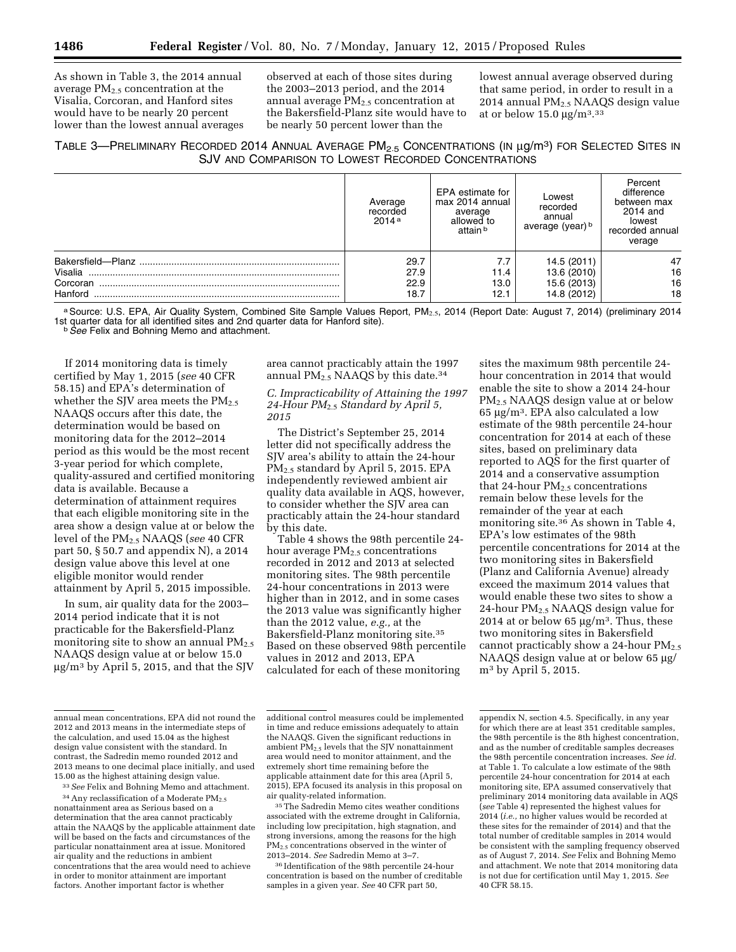As shown in Table 3, the 2014 annual average  $PM<sub>2.5</sub>$  concentration at the Visalia, Corcoran, and Hanford sites would have to be nearly 20 percent lower than the lowest annual averages observed at each of those sites during the 2003–2013 period, and the 2014 annual average  $PM<sub>2.5</sub>$  concentration at the Bakersfield-Planz site would have to be nearly 50 percent lower than the

lowest annual average observed during that same period, in order to result in a 2014 annual  $PM<sub>2.5</sub> NAAQS$  design value at or below  $15.0 \text{ µg/m}^3$ .  $33$ 

# TABLE 3—PRELIMINARY RECORDED 2014 ANNUAL AVERAGE PM<sub>2.5</sub> CONCENTRATIONS (IN µg/m<sup>3</sup>) FOR SELECTED SITES IN SJV AND COMPARISON TO LOWEST RECORDED CONCENTRATIONS

|          | Average<br>recorded<br>2014a | EPA estimate for<br>max 2014 annual<br>average<br>allowed to<br>attain b | Lowest<br>recorded<br>annual<br>average (year) b | Percent<br>difference<br>between max<br>2014 and<br>lowest<br>recorded annual<br>verage |
|----------|------------------------------|--------------------------------------------------------------------------|--------------------------------------------------|-----------------------------------------------------------------------------------------|
|          | 29.7                         | 7.7                                                                      | 14.5 (2011)                                      | 47                                                                                      |
| Visalia  | 27.9                         | 11.4                                                                     | 13.6 (2010)                                      | 16                                                                                      |
| Corcoran | 22.9                         | 13.0                                                                     | 15.6 (2013)                                      | 16                                                                                      |
| Hanford  | 18.7                         | 12.1                                                                     | 14.8 (2012)                                      | 18                                                                                      |

a Source: U.S. EPA, Air Quality System, Combined Site Sample Values Report, PM<sub>2.5</sub>, 2014 (Report Date: August 7, 2014) (preliminary 2014 1st quarter data for all identified sites and 2nd quarter data for Hanford site). b*See* Felix and Bohning Memo and attachment.

If 2014 monitoring data is timely certified by May 1, 2015 (*see* 40 CFR 58.15) and EPA's determination of whether the SJV area meets the  $PM_{2.5}$ NAAQS occurs after this date, the determination would be based on monitoring data for the 2012–2014 period as this would be the most recent 3-year period for which complete, quality-assured and certified monitoring data is available. Because a determination of attainment requires that each eligible monitoring site in the area show a design value at or below the level of the PM2.5 NAAQS (*see* 40 CFR part 50, § 50.7 and appendix N), a 2014 design value above this level at one eligible monitor would render attainment by April 5, 2015 impossible.

In sum, air quality data for the 2003– 2014 period indicate that it is not practicable for the Bakersfield-Planz monitoring site to show an annual  $PM_{2.5}$ NAAQS design value at or below 15.0  $\mu$ g/m<sup>3</sup> by April 5, 2015, and that the SJV

area cannot practicably attain the 1997 annual  $PM_{2.5}$  NAAQS by this date.<sup>34</sup>

*C. Impracticability of Attaining the 1997 24-Hour PM*2.5 *Standard by April 5, 2015* 

The District's September 25, 2014 letter did not specifically address the SJV area's ability to attain the 24-hour PM2.5 standard by April 5, 2015. EPA independently reviewed ambient air quality data available in AQS, however, to consider whether the SJV area can practicably attain the 24-hour standard by this date.

Table 4 shows the 98th percentile 24 hour average  $PM_{2.5}$  concentrations recorded in 2012 and 2013 at selected monitoring sites. The 98th percentile 24-hour concentrations in 2013 were higher than in 2012, and in some cases the 2013 value was significantly higher than the 2012 value, *e.g.,* at the Bakersfield-Planz monitoring site.35 Based on these observed 98th percentile values in 2012 and 2013, EPA calculated for each of these monitoring

sites the maximum 98th percentile 24 hour concentration in 2014 that would enable the site to show a 2014 24-hour PM2.5 NAAQS design value at or below  $65 \mu g/m<sup>3</sup>$ . EPA also calculated a low estimate of the 98th percentile 24-hour concentration for 2014 at each of these sites, based on preliminary data reported to AQS for the first quarter of 2014 and a conservative assumption that 24-hour  $PM<sub>2.5</sub>$  concentrations remain below these levels for the remainder of the year at each monitoring site.36 As shown in Table 4, EPA's low estimates of the 98th percentile concentrations for 2014 at the two monitoring sites in Bakersfield (Planz and California Avenue) already exceed the maximum 2014 values that would enable these two sites to show a 24-hour PM2.5 NAAQS design value for 2014 at or below 65  $\mu$ g/m<sup>3</sup>. Thus, these two monitoring sites in Bakersfield cannot practicably show a 24-hour  $PM_{2.5}$ NAAQS design value at or below 65 µg/ m3 by April 5, 2015.

 $^{34}\!$  Any reclassification of a Moderate  $\rm PM_{2.5}$ nonattainment area as Serious based on a determination that the area cannot practicably attain the NAAQS by the applicable attainment date will be based on the facts and circumstances of the particular nonattainment area at issue. Monitored air quality and the reductions in ambient concentrations that the area would need to achieve in order to monitor attainment are important factors. Another important factor is whether

<sup>35</sup>The Sadredin Memo cites weather conditions associated with the extreme drought in California, including low precipitation, high stagnation, and strong inversions, among the reasons for the high  $PM<sub>2.5</sub>$  concentrations observed in the winter of 2013–2014. *See* Sadredin Memo at 3–7.

36 Identification of the 98th percentile 24-hour concentration is based on the number of creditable samples in a given year. *See* 40 CFR part 50,

annual mean concentrations, EPA did not round the 2012 and 2013 means in the intermediate steps of the calculation, and used 15.04 as the highest design value consistent with the standard. In contrast, the Sadredin memo rounded 2012 and 2013 means to one decimal place initially, and used 15.00 as the highest attaining design value.

<sup>33</sup>*See* Felix and Bohning Memo and attachment.

additional control measures could be implemented in time and reduce emissions adequately to attain the NAAQS. Given the significant reductions in ambient $\text{PM}_{2.5}$  levels that the SJV nonattainment area would need to monitor attainment, and the extremely short time remaining before the applicable attainment date for this area (April 5, 2015), EPA focused its analysis in this proposal on air quality-related information.

appendix N, section 4.5. Specifically, in any year for which there are at least 351 creditable samples. the 98th percentile is the 8th highest concentration, and as the number of creditable samples decreases the 98th percentile concentration increases. *See id.*  at Table 1. To calculate a low estimate of the 98th percentile 24-hour concentration for 2014 at each monitoring site, EPA assumed conservatively that preliminary 2014 monitoring data available in AQS (*see* Table 4) represented the highest values for 2014 (*i.e.,* no higher values would be recorded at these sites for the remainder of 2014) and that the total number of creditable samples in 2014 would be consistent with the sampling frequency observed as of August 7, 2014. *See* Felix and Bohning Memo and attachment. We note that 2014 monitoring data is not due for certification until May 1, 2015. *See*  40 CFR 58.15.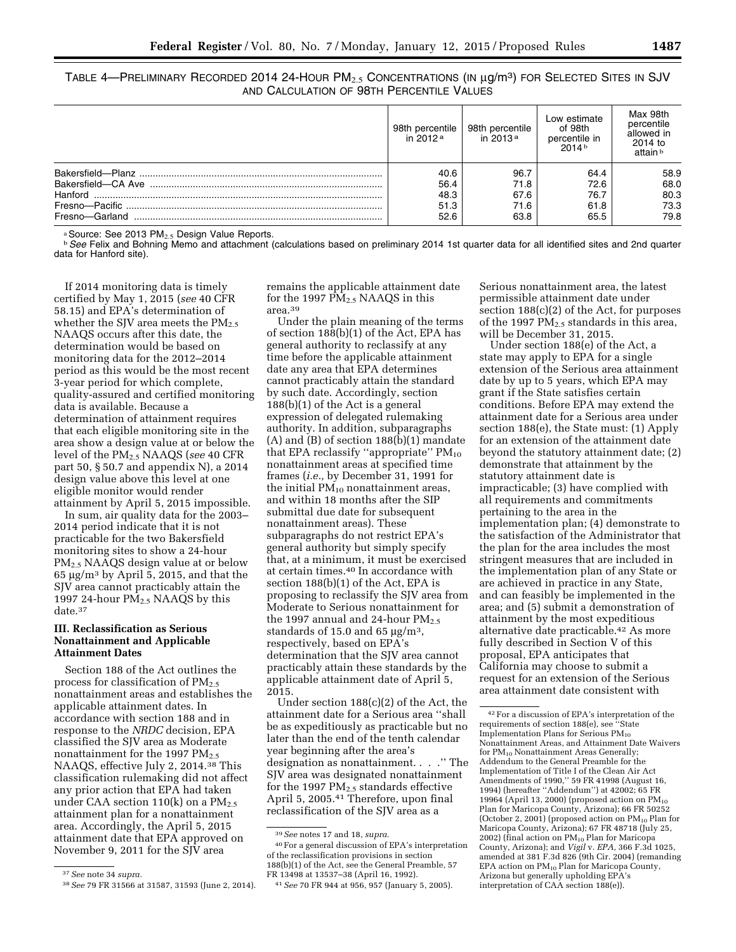TABLE 4—PRELIMINARY RECORDED 2014 24-HOUR  $\mathsf{PM}_{2.5}$  Concentrations (in  $\mu\mathsf{g}/\mathsf{m}^3$ ) for Selected Sites in SJV AND CALCULATION OF 98TH PERCENTILE VALUES

|                    | 98th percentile<br>in 2012 $a$ | 98th percentile<br>in $2013a$ | Low estimate<br>of 98th<br>percentile in<br>$2014b$ | Max 98th<br>percentile<br>allowed in<br>2014 to<br>attain b |
|--------------------|--------------------------------|-------------------------------|-----------------------------------------------------|-------------------------------------------------------------|
|                    | 40.6                           | 96.7                          | 64.4                                                | 58.9                                                        |
| Bakersfield-CA Ave | 56.4                           | 71.8                          | 72.6                                                | 68.0                                                        |
|                    | 48.3                           | 67.6                          | 76.7                                                | 80.3                                                        |
|                    | 51.3                           | 71.6                          | 61.8                                                | 73.3                                                        |
| Fresno-Garland     | 52.6                           | 63.8                          | 65.5                                                | 79.8                                                        |

<sup>a</sup> Source: See 2013 PM<sub>2.5</sub> Design Value Reports.<br><sup>b</sup> *See* Felix and Bohning Memo and attachment (calculations based on preliminary 2014 1st quarter data for all identified sites and 2nd quarter data for Hanford site).

If 2014 monitoring data is timely certified by May 1, 2015 (*see* 40 CFR 58.15) and EPA's determination of whether the SJV area meets the  $PM_{2.5}$ NAAQS occurs after this date, the determination would be based on monitoring data for the 2012–2014 period as this would be the most recent 3-year period for which complete, quality-assured and certified monitoring data is available. Because a determination of attainment requires that each eligible monitoring site in the area show a design value at or below the level of the PM2.5 NAAQS (*see* 40 CFR part 50, § 50.7 and appendix N), a 2014 design value above this level at one eligible monitor would render attainment by April 5, 2015 impossible.

In sum, air quality data for the 2003– 2014 period indicate that it is not practicable for the two Bakersfield monitoring sites to show a 24-hour PM2.5 NAAQS design value at or below 65  $\mu$ g/m<sup>3</sup> by April 5, 2015, and that the SJV area cannot practicably attain the 1997 24-hour  $PM<sub>2.5</sub> NAAQS$  by this date.37

### **III. Reclassification as Serious Nonattainment and Applicable Attainment Dates**

Section 188 of the Act outlines the process for classification of  $PM_{2.5}$ nonattainment areas and establishes the applicable attainment dates. In accordance with section 188 and in response to the *NRDC* decision, EPA classified the SJV area as Moderate nonattainment for the 1997  $PM_{2.5}$ NAAQS, effective July 2, 2014.38 This classification rulemaking did not affect any prior action that EPA had taken under CAA section  $110(k)$  on a  $PM_{2.5}$ attainment plan for a nonattainment area. Accordingly, the April 5, 2015 attainment date that EPA approved on November 9, 2011 for the SJV area

remains the applicable attainment date for the 1997  $\tilde{PM}_{2.5}$  NAAQS in this area.39

Under the plain meaning of the terms of section 188(b)(1) of the Act, EPA has general authority to reclassify at any time before the applicable attainment date any area that EPA determines cannot practicably attain the standard by such date. Accordingly, section 188(b)(1) of the Act is a general expression of delegated rulemaking authority. In addition, subparagraphs (A) and (B) of section 188(b)(1) mandate that EPA reclassify "appropriate"  $PM_{10}$ nonattainment areas at specified time frames (*i.e.,* by December 31, 1991 for the initial  $PM_{10}$  nonattainment areas, and within 18 months after the SIP submittal due date for subsequent nonattainment areas). These subparagraphs do not restrict EPA's general authority but simply specify that, at a minimum, it must be exercised at certain times.40 In accordance with section 188(b)(1) of the Act, EPA is proposing to reclassify the SJV area from Moderate to Serious nonattainment for the 1997 annual and 24-hour  $PM_2$ . standards of 15.0 and 65  $\mu$ g/m<sup>3</sup>, respectively, based on EPA's determination that the SJV area cannot practicably attain these standards by the applicable attainment date of April 5, 2015.

Under section 188(c)(2) of the Act, the attainment date for a Serious area ''shall be as expeditiously as practicable but no later than the end of the tenth calendar year beginning after the area's designation as nonattainment. . . .'' The SJV area was designated nonattainment for the 1997  $PM_{2.5}$  standards effective April 5, 2005.41 Therefore, upon final reclassification of the SJV area as a

40For a general discussion of EPA's interpretation of the reclassification provisions in section 188(b)(1) of the Act, see the General Preamble, 57 FR 13498 at 13537–38 (April 16, 1992).

Serious nonattainment area, the latest permissible attainment date under section 188(c)(2) of the Act, for purposes of the 1997  $PM_{2.5}$  standards in this area, will be December 31, 2015.

Under section 188(e) of the Act, a state may apply to EPA for a single extension of the Serious area attainment date by up to 5 years, which EPA may grant if the State satisfies certain conditions. Before EPA may extend the attainment date for a Serious area under section 188(e), the State must: (1) Apply for an extension of the attainment date beyond the statutory attainment date; (2) demonstrate that attainment by the statutory attainment date is impracticable; (3) have complied with all requirements and commitments pertaining to the area in the implementation plan; (4) demonstrate to the satisfaction of the Administrator that the plan for the area includes the most stringent measures that are included in the implementation plan of any State or are achieved in practice in any State, and can feasibly be implemented in the area; and (5) submit a demonstration of attainment by the most expeditious alternative date practicable.42 As more fully described in Section V of this proposal, EPA anticipates that California may choose to submit a request for an extension of the Serious area attainment date consistent with

<sup>37</sup>*See* note 34 *supra.* 

<sup>38</sup>*See* 79 FR 31566 at 31587, 31593 (June 2, 2014).

<sup>39</sup>*See* notes 17 and 18, *supra.* 

<sup>41</sup>*See* 70 FR 944 at 956, 957 (January 5, 2005).

 $\overline{^{42}\mathrm{For}}$  a discussion of EPA's interpretation of the requirements of section 188(e), see ''State Implementation Plans for Serious  $PM_{10}$ Nonattainment Areas, and Attainment Date Waivers for PM<sub>10</sub> Nonattainment Areas Generally; Addendum to the General Preamble for the Implementation of Title I of the Clean Air Act Amendments of 1990,'' 59 FR 41998 (August 16, 1994) (hereafter ''Addendum'') at 42002; 65 FR 19964 (April 13, 2000) (proposed action on  $PM_{10}$ Plan for Maricopa County, Arizona); 66 FR 50252 (October 2, 2001) (proposed action on  $PM_{10}$  Plan for Maricopa County, Arizona); 67 FR 48718 (July 25, 2002) (final action on  $PM_{10}$  Plan for Maricopa County, Arizona); and *Vigil* v. *EPA,* 366 F.3d 1025, amended at 381 F.3d 826 (9th Cir. 2004) (remanding EPA action on PM10 Plan for Maricopa County, Arizona but generally upholding EPA's interpretation of CAA section 188(e)).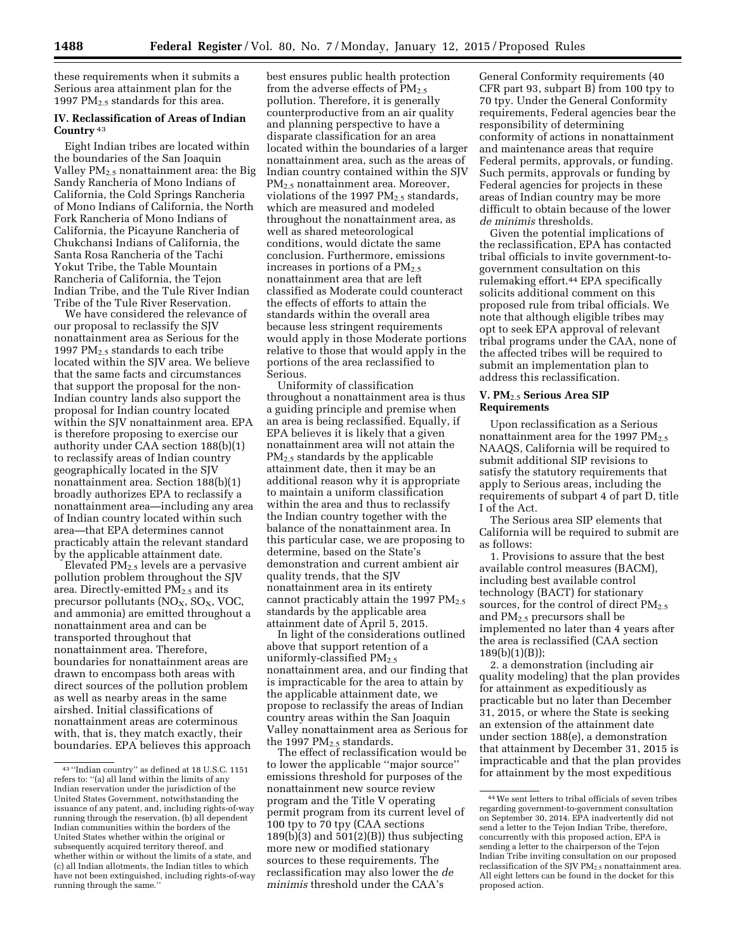these requirements when it submits a Serious area attainment plan for the 1997 PM $_{2.5}$  standards for this area.

### **IV. Reclassification of Areas of Indian Country** 43

Eight Indian tribes are located within the boundaries of the San Joaquin Valley  $PM_{2.5}$  nonattainment area: the Big Sandy Rancheria of Mono Indians of California, the Cold Springs Rancheria of Mono Indians of California, the North Fork Rancheria of Mono Indians of California, the Picayune Rancheria of Chukchansi Indians of California, the Santa Rosa Rancheria of the Tachi Yokut Tribe, the Table Mountain Rancheria of California, the Tejon Indian Tribe, and the Tule River Indian Tribe of the Tule River Reservation.

We have considered the relevance of our proposal to reclassify the SJV nonattainment area as Serious for the 1997 PM2.5 standards to each tribe located within the SJV area. We believe that the same facts and circumstances that support the proposal for the non-Indian country lands also support the proposal for Indian country located within the SJV nonattainment area. EPA is therefore proposing to exercise our authority under CAA section 188(b)(1) to reclassify areas of Indian country geographically located in the SJV nonattainment area. Section 188(b)(1) broadly authorizes EPA to reclassify a nonattainment area—including any area of Indian country located within such area—that EPA determines cannot practicably attain the relevant standard by the applicable attainment date.

Elevated PM2.5 levels are a pervasive pollution problem throughout the SJV area. Directly-emitted  $PM_{2.5}$  and its precursor pollutants  $(NO<sub>X</sub>, SO<sub>X</sub>, VOC,$ and ammonia) are emitted throughout a nonattainment area and can be transported throughout that nonattainment area. Therefore, boundaries for nonattainment areas are drawn to encompass both areas with direct sources of the pollution problem as well as nearby areas in the same airshed. Initial classifications of nonattainment areas are coterminous with, that is, they match exactly, their boundaries. EPA believes this approach

best ensures public health protection from the adverse effects of  $PM<sub>2.5</sub>$ pollution. Therefore, it is generally counterproductive from an air quality and planning perspective to have a disparate classification for an area located within the boundaries of a larger nonattainment area, such as the areas of Indian country contained within the SJV PM<sub>2.5</sub> nonattainment area. Moreover, violations of the 1997 PM<sub>2.5</sub> standards, which are measured and modeled throughout the nonattainment area, as well as shared meteorological conditions, would dictate the same conclusion. Furthermore, emissions increases in portions of a  $PM_{2.5}$ nonattainment area that are left classified as Moderate could counteract the effects of efforts to attain the standards within the overall area because less stringent requirements would apply in those Moderate portions relative to those that would apply in the portions of the area reclassified to Serious.

Uniformity of classification throughout a nonattainment area is thus a guiding principle and premise when an area is being reclassified. Equally, if EPA believes it is likely that a given nonattainment area will not attain the PM2.5 standards by the applicable attainment date, then it may be an additional reason why it is appropriate to maintain a uniform classification within the area and thus to reclassify the Indian country together with the balance of the nonattainment area. In this particular case, we are proposing to determine, based on the State's demonstration and current ambient air quality trends, that the SJV nonattainment area in its entirety cannot practicably attain the 1997  $PM_{2.5}$ standards by the applicable area attainment date of April 5, 2015.

In light of the considerations outlined above that support retention of a uniformly-classified  $PM_{2.5}$ nonattainment area, and our finding that is impracticable for the area to attain by the applicable attainment date, we propose to reclassify the areas of Indian country areas within the San Joaquin Valley nonattainment area as Serious for the 1997  $PM_{2.5}$  standards.

The effect of reclassification would be to lower the applicable ''major source'' emissions threshold for purposes of the nonattainment new source review program and the Title V operating permit program from its current level of 100 tpy to 70 tpy (CAA sections  $189(b)(3)$  and  $501(2)(B)$  thus subjecting more new or modified stationary sources to these requirements. The reclassification may also lower the *de minimis* threshold under the CAA's

General Conformity requirements (40 CFR part 93, subpart B) from 100 tpy to 70 tpy. Under the General Conformity requirements, Federal agencies bear the responsibility of determining conformity of actions in nonattainment and maintenance areas that require Federal permits, approvals, or funding. Such permits, approvals or funding by Federal agencies for projects in these areas of Indian country may be more difficult to obtain because of the lower *de minimis* thresholds.

Given the potential implications of the reclassification, EPA has contacted tribal officials to invite government-togovernment consultation on this rulemaking effort.44 EPA specifically solicits additional comment on this proposed rule from tribal officials. We note that although eligible tribes may opt to seek EPA approval of relevant tribal programs under the CAA, none of the affected tribes will be required to submit an implementation plan to address this reclassification.

### **V. PM**2.5 **Serious Area SIP Requirements**

Upon reclassification as a Serious nonattainment area for the 1997  $PM_{2.5}$ NAAQS, California will be required to submit additional SIP revisions to satisfy the statutory requirements that apply to Serious areas, including the requirements of subpart 4 of part D, title I of the Act.

The Serious area SIP elements that California will be required to submit are as follows:

1. Provisions to assure that the best available control measures (BACM), including best available control technology (BACT) for stationary sources, for the control of direct  $PM_{2.5}$ and PM2.5 precursors shall be implemented no later than 4 years after the area is reclassified (CAA section 189(b)(1)(B));

2. a demonstration (including air quality modeling) that the plan provides for attainment as expeditiously as practicable but no later than December 31, 2015, or where the State is seeking an extension of the attainment date under section 188(e), a demonstration that attainment by December 31, 2015 is impracticable and that the plan provides for attainment by the most expeditious

<sup>43</sup> ''Indian country'' as defined at 18 U.S.C. 1151 refers to: ''(a) all land within the limits of any Indian reservation under the jurisdiction of the United States Government, notwithstanding the issuance of any patent, and, including rights-of-way running through the reservation, (b) all dependent Indian communities within the borders of the United States whether within the original or subsequently acquired territory thereof, and whether within or without the limits of a state, and (c) all Indian allotments, the Indian titles to which have not been extinguished, including rights-of-way running through the same.''

<sup>44</sup>We sent letters to tribal officials of seven tribes regarding government-to-government consultation on September 30, 2014. EPA inadvertently did not send a letter to the Tejon Indian Tribe, therefore, concurrently with this proposed action, EPA is sending a letter to the chairperson of the Tejon Indian Tribe inviting consultation on our proposed reclassification of the SJV PM<sub>2.5</sub> nonattainment area. All eight letters can be found in the docket for this proposed action.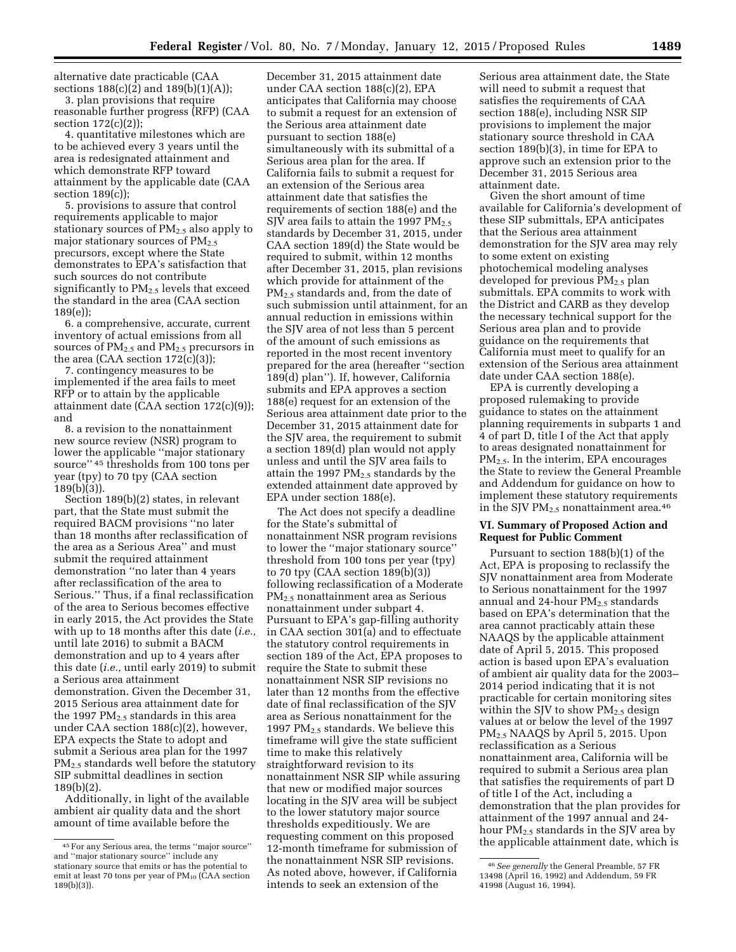alternative date practicable (CAA sections 188(c)(2) and 189(b)(1)(A));

3. plan provisions that require reasonable further progress (RFP) (CAA section 172(c)(2));

4. quantitative milestones which are to be achieved every 3 years until the area is redesignated attainment and which demonstrate RFP toward attainment by the applicable date (CAA section 189(c));

5. provisions to assure that control requirements applicable to major stationary sources of  $PM_{2.5}$  also apply to major stationary sources of  $PM_{2.5}$ precursors, except where the State demonstrates to EPA's satisfaction that such sources do not contribute significantly to  $PM_{2.5}$  levels that exceed the standard in the area (CAA section 189(e));

6. a comprehensive, accurate, current inventory of actual emissions from all sources of  $PM_{2.5}$  and  $PM_{2.5}$  precursors in the area  $(CAA$  section  $172(c)(3)$ ;

7. contingency measures to be implemented if the area fails to meet RFP or to attain by the applicable attainment date (CAA section 172(c)(9)); and

8. a revision to the nonattainment new source review (NSR) program to lower the applicable ''major stationary source'' 45 thresholds from 100 tons per year (tpy) to 70 tpy (CAA section 189(b)(3)).

Section 189(b)(2) states, in relevant part, that the State must submit the required BACM provisions ''no later than 18 months after reclassification of the area as a Serious Area'' and must submit the required attainment demonstration ''no later than 4 years after reclassification of the area to Serious.'' Thus, if a final reclassification of the area to Serious becomes effective in early 2015, the Act provides the State with up to 18 months after this date (*i.e.,*  until late 2016) to submit a BACM demonstration and up to 4 years after this date (*i.e.,* until early 2019) to submit a Serious area attainment demonstration. Given the December 31, 2015 Serious area attainment date for the 1997  $PM_{2.5}$  standards in this area under CAA section 188(c)(2), however, EPA expects the State to adopt and submit a Serious area plan for the 1997 PM<sub>2.5</sub> standards well before the statutory SIP submittal deadlines in section 189(b)(2).

Additionally, in light of the available ambient air quality data and the short amount of time available before the

December 31, 2015 attainment date under CAA section 188(c)(2), EPA anticipates that California may choose to submit a request for an extension of the Serious area attainment date pursuant to section 188(e) simultaneously with its submittal of a Serious area plan for the area. If California fails to submit a request for an extension of the Serious area attainment date that satisfies the requirements of section 188(e) and the SJV area fails to attain the 1997  $PM_{2.5}$ standards by December 31, 2015, under CAA section 189(d) the State would be required to submit, within 12 months after December 31, 2015, plan revisions which provide for attainment of the PM2.5 standards and, from the date of such submission until attainment, for an annual reduction in emissions within the SJV area of not less than 5 percent of the amount of such emissions as reported in the most recent inventory prepared for the area (hereafter ''section 189(d) plan''). If, however, California submits and EPA approves a section 188(e) request for an extension of the Serious area attainment date prior to the December 31, 2015 attainment date for the SJV area, the requirement to submit a section 189(d) plan would not apply unless and until the SJV area fails to attain the 1997 PM2.5 standards by the extended attainment date approved by EPA under section 188(e).

The Act does not specify a deadline for the State's submittal of nonattainment NSR program revisions to lower the ''major stationary source'' threshold from 100 tons per year (tpy) to 70 tpy (CAA section 189(b)(3)) following reclassification of a Moderate PM2.5 nonattainment area as Serious nonattainment under subpart 4. Pursuant to EPA's gap-filling authority in CAA section 301(a) and to effectuate the statutory control requirements in section 189 of the Act, EPA proposes to require the State to submit these nonattainment NSR SIP revisions no later than 12 months from the effective date of final reclassification of the SJV area as Serious nonattainment for the 1997  $PM_{2.5}$  standards. We believe this timeframe will give the state sufficient time to make this relatively straightforward revision to its nonattainment NSR SIP while assuring that new or modified major sources locating in the SJV area will be subject to the lower statutory major source thresholds expeditiously. We are requesting comment on this proposed 12-month timeframe for submission of the nonattainment NSR SIP revisions. As noted above, however, if California intends to seek an extension of the

Serious area attainment date, the State will need to submit a request that satisfies the requirements of CAA section 188(e), including NSR SIP provisions to implement the major stationary source threshold in CAA section 189(b)(3), in time for EPA to approve such an extension prior to the December 31, 2015 Serious area attainment date.

Given the short amount of time available for California's development of these SIP submittals, EPA anticipates that the Serious area attainment demonstration for the SJV area may rely to some extent on existing photochemical modeling analyses developed for previous PM<sub>2.5</sub> plan submittals. EPA commits to work with the District and CARB as they develop the necessary technical support for the Serious area plan and to provide guidance on the requirements that California must meet to qualify for an extension of the Serious area attainment date under CAA section 188(e).

EPA is currently developing a proposed rulemaking to provide guidance to states on the attainment planning requirements in subparts 1 and 4 of part D, title I of the Act that apply to areas designated nonattainment for  $PM<sub>2.5</sub>$ . In the interim, EPA encourages the State to review the General Preamble and Addendum for guidance on how to implement these statutory requirements in the SJV  $PM_{2.5}$  nonattainment area.<sup>46</sup>

#### **VI. Summary of Proposed Action and Request for Public Comment**

Pursuant to section 188(b)(1) of the Act, EPA is proposing to reclassify the SJV nonattainment area from Moderate to Serious nonattainment for the 1997 annual and 24-hour PM2.5 standards based on EPA's determination that the area cannot practicably attain these NAAQS by the applicable attainment date of April 5, 2015. This proposed action is based upon EPA's evaluation of ambient air quality data for the 2003– 2014 period indicating that it is not practicable for certain monitoring sites within the SJV to show  $PM_{2.5}$  design values at or below the level of the 1997 PM2.5 NAAQS by April 5, 2015. Upon reclassification as a Serious nonattainment area, California will be required to submit a Serious area plan that satisfies the requirements of part D of title I of the Act, including a demonstration that the plan provides for attainment of the 1997 annual and 24 hour PM<sub>2.5</sub> standards in the SJV area by the applicable attainment date, which is

<sup>45</sup>For any Serious area, the terms ''major source'' and ''major stationary source'' include any stationary source that emits or has the potential to emit at least 70 tons per year of  $PM_{10}$  (CAA section 189(b)(3)).

<sup>46</sup>*See generally* the General Preamble, 57 FR 13498 (April 16, 1992) and Addendum, 59 FR 41998 (August 16, 1994).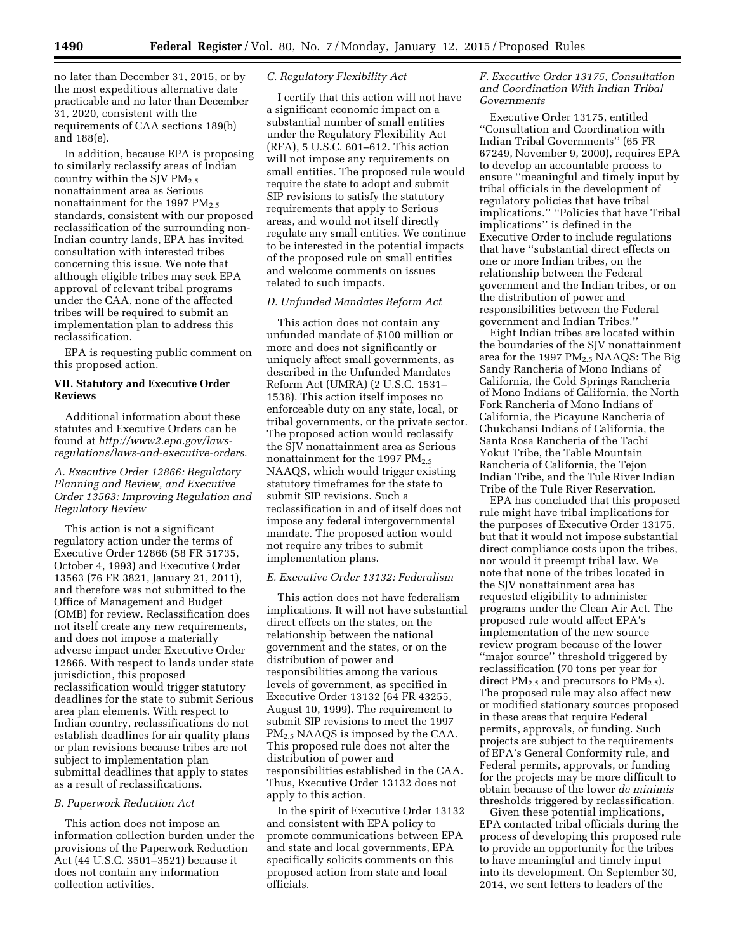no later than December 31, 2015, or by the most expeditious alternative date practicable and no later than December 31, 2020, consistent with the requirements of CAA sections 189(b) and 188(e).

In addition, because EPA is proposing to similarly reclassify areas of Indian country within the SJV  $\rm PM_{2.5}$ nonattainment area as Serious nonattainment for the 1997  $PM_{2.5}$ standards, consistent with our proposed reclassification of the surrounding non-Indian country lands, EPA has invited consultation with interested tribes concerning this issue. We note that although eligible tribes may seek EPA approval of relevant tribal programs under the CAA, none of the affected tribes will be required to submit an implementation plan to address this reclassification.

EPA is requesting public comment on this proposed action.

# **VII. Statutory and Executive Order Reviews**

Additional information about these statutes and Executive Orders can be found at *[http://www2.epa.gov/laws](http://www2.epa.gov/laws-regulations/laws-and-executive-orders)[regulations/laws-and-executive-orders](http://www2.epa.gov/laws-regulations/laws-and-executive-orders)*.

# *A. Executive Order 12866: Regulatory Planning and Review, and Executive Order 13563: Improving Regulation and Regulatory Review*

This action is not a significant regulatory action under the terms of Executive Order 12866 (58 FR 51735, October 4, 1993) and Executive Order 13563 (76 FR 3821, January 21, 2011), and therefore was not submitted to the Office of Management and Budget (OMB) for review. Reclassification does not itself create any new requirements, and does not impose a materially adverse impact under Executive Order 12866. With respect to lands under state jurisdiction, this proposed reclassification would trigger statutory deadlines for the state to submit Serious area plan elements. With respect to Indian country, reclassifications do not establish deadlines for air quality plans or plan revisions because tribes are not subject to implementation plan submittal deadlines that apply to states as a result of reclassifications.

### *B. Paperwork Reduction Act*

This action does not impose an information collection burden under the provisions of the Paperwork Reduction Act (44 U.S.C. 3501–3521) because it does not contain any information collection activities.

### *C. Regulatory Flexibility Act*

I certify that this action will not have a significant economic impact on a substantial number of small entities under the Regulatory Flexibility Act (RFA), 5 U.S.C. 601–612. This action will not impose any requirements on small entities. The proposed rule would require the state to adopt and submit SIP revisions to satisfy the statutory requirements that apply to Serious areas, and would not itself directly regulate any small entities. We continue to be interested in the potential impacts of the proposed rule on small entities and welcome comments on issues related to such impacts.

### *D. Unfunded Mandates Reform Act*

This action does not contain any unfunded mandate of \$100 million or more and does not significantly or uniquely affect small governments, as described in the Unfunded Mandates Reform Act (UMRA) (2 U.S.C. 1531– 1538). This action itself imposes no enforceable duty on any state, local, or tribal governments, or the private sector. The proposed action would reclassify the SJV nonattainment area as Serious nonattainment for the 1997  $PM_{2.5}$ NAAQS, which would trigger existing statutory timeframes for the state to submit SIP revisions. Such a reclassification in and of itself does not impose any federal intergovernmental mandate. The proposed action would not require any tribes to submit implementation plans.

#### *E. Executive Order 13132: Federalism*

This action does not have federalism implications. It will not have substantial direct effects on the states, on the relationship between the national government and the states, or on the distribution of power and responsibilities among the various levels of government, as specified in Executive Order 13132 (64 FR 43255, August 10, 1999). The requirement to submit SIP revisions to meet the 1997 PM2.5 NAAQS is imposed by the CAA. This proposed rule does not alter the distribution of power and responsibilities established in the CAA. Thus, Executive Order 13132 does not apply to this action.

In the spirit of Executive Order 13132 and consistent with EPA policy to promote communications between EPA and state and local governments, EPA specifically solicits comments on this proposed action from state and local officials.

### *F. Executive Order 13175, Consultation and Coordination With Indian Tribal Governments*

Executive Order 13175, entitled ''Consultation and Coordination with Indian Tribal Governments'' (65 FR 67249, November 9, 2000), requires EPA to develop an accountable process to ensure ''meaningful and timely input by tribal officials in the development of regulatory policies that have tribal implications.'' ''Policies that have Tribal implications'' is defined in the Executive Order to include regulations that have ''substantial direct effects on one or more Indian tribes, on the relationship between the Federal government and the Indian tribes, or on the distribution of power and responsibilities between the Federal government and Indian Tribes.''

Eight Indian tribes are located within the boundaries of the SJV nonattainment area for the 1997  $PM_{2.5}$  NAAQS: The Big Sandy Rancheria of Mono Indians of California, the Cold Springs Rancheria of Mono Indians of California, the North Fork Rancheria of Mono Indians of California, the Picayune Rancheria of Chukchansi Indians of California, the Santa Rosa Rancheria of the Tachi Yokut Tribe, the Table Mountain Rancheria of California, the Tejon Indian Tribe, and the Tule River Indian Tribe of the Tule River Reservation.

EPA has concluded that this proposed rule might have tribal implications for the purposes of Executive Order 13175, but that it would not impose substantial direct compliance costs upon the tribes, nor would it preempt tribal law. We note that none of the tribes located in the SJV nonattainment area has requested eligibility to administer programs under the Clean Air Act. The proposed rule would affect EPA's implementation of the new source review program because of the lower ''major source'' threshold triggered by reclassification (70 tons per year for direct  $PM<sub>2.5</sub>$  and precursors to  $PM<sub>2.5</sub>$ ). The proposed rule may also affect new or modified stationary sources proposed in these areas that require Federal permits, approvals, or funding. Such projects are subject to the requirements of EPA's General Conformity rule, and Federal permits, approvals, or funding for the projects may be more difficult to obtain because of the lower *de minimis*  thresholds triggered by reclassification.

Given these potential implications, EPA contacted tribal officials during the process of developing this proposed rule to provide an opportunity for the tribes to have meaningful and timely input into its development. On September 30, 2014, we sent letters to leaders of the